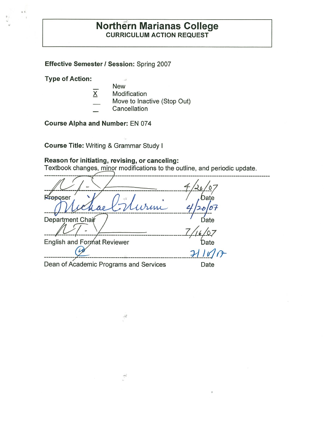# **Northern Marianas College CURRICULUM ACTION REQUEST**

**Effective Semester/ Session:** Spring 2007

**Type of Action:** 

 $\begin{array}{c} \mathbf{a} \cdot \mathbf{v} \\ \vdots \\ \mathbf{v} \end{array}$ 

- $\bar{\omega}$ New
- $X$  Modification
	- Move to Inactive (Stop Out)
- Cancellation

**Course Alpha and Number:** EN 074

**Course Title:** Writing & Grammar Study I

# **Reason for initiating, revising, or canceling:**

 $\frac{2}{\pi} \frac{1}{\sqrt{2}} \left( \frac{1}{\sqrt{2}} \right)^2$ 

 $\ddot{\hat{z}}$ 

Textbook changes, minor modifications to the outline, and periodic update.

| Preposer                               | Date  |
|----------------------------------------|-------|
| Murine                                 |       |
| Department Chair                       | Date  |
|                                        |       |
| <b>English and Format Reviewer</b>     | Date  |
|                                        | 71107 |
| Dean of Academic Programs and Services | Date  |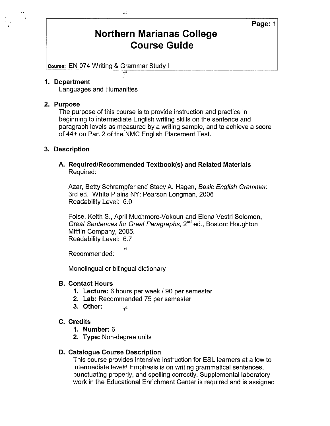# **Northern Marianas College Course Guide**

Course: EN 074 Writing & Grammar Study I

أدهد

#### **1. Department**

Languages and Humanities

#### **2. Purpose**

e s'

The purpose of this course is to provide instruction and practice in beginning to intermediate English writing skills on the sentence and paragraph levels as measured by a writing sample, and to achieve a score of 44+ on Part 2 of the NMC English Placement Test.

#### **3. Description**

#### **A. Required/Recommended Textbook(s) and Related Materials**  Required:

Azar, Betty Schrampfer and Stacy A. Hagen, Basic English Grammar. 3rd ed. White Plains NY: Pearson Longman, 2006 Readability Level: 6.0

Folse, Keith S., April Muchmore-Vokoun and Elena Vestri Solomon, Great Sentences for Great Paragraphs, 2<sup>nd</sup> ed., Boston: Houghton Mifflin Company, 2005. Readability Level: 6.7

Recommended:

Monolingual or bilingual dictionary

*.ri* 

#### **B. Contact Hours**

- **1. Lecture:** 6 hours per week/ 90 per semester
- **2. Lab:** Recommended 75 per semester
- **3. Other:**  وبالتيف

#### **C. Credits**

- **1. Number:** 6
- **2. Type:** Non-degree units

### **D. Catalogue Course Description**

This course provides intensive instruction for ESL learners at a low to intermediate level: Emphasis is on writing grammatical sentences, punctuating properly, and spelling correctly. Supplemental laboratory work in the Educational Enrichment Center is required and is assigned

**Page:** 1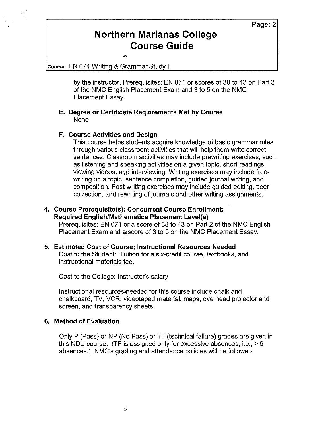# **Northern Marianas College Course Guide**

course: EN 074 Writing & Grammar Study I

.<br>Ari

by the instructor. Prerequisites: EN 071 or scores of 38 to 43 on Part 2 of the NMC English Placement Exam and 3 to 5 on the NMC Placement Essay.

#### **E. Degree or Certificate Requirements Met by Course**  None

### **F. Course Activities and Design**

This course helps students acquire knowledge of basic grammar rules through various classroom activities that will help them write correct sentences. Classroom activities may include prewriting exercises, such as listening and speaking activities on a given topic, short readings, viewing videos, and interviewing. Writing exercises may include freewriting on a topic, sentence completion, guided journal writing, and composition. Post-writing exercises may include guided editing, peer correction, and rewriting of journals and other writing assignments.

# **4. Course Prerequisite(s); Concurrent Course Enrollment; Required English/Mathematics Placement Level(s)**

Prerequisites: EN 071 or a score of 38 to 43 on Part 2 of the NMC English Placement Exam and a score of 3 to 5 on the NMC Placement Essay.

# **5. Estimated Cost of Course; Instructional Resources Needed**

Cost to the Student: Tuition for a six-credit course, textbooks, and instructional materials fee.

Cost to the College: Instructor's salary

Instructional resource5;needed for this course include chalk and chalkboard, TV, VCR, videotaped material, maps, overhead projector and screen, and transparency sheets.

#### **6. Method of Evaluation**

Only P (Pass) or NP (No Pass) or TF (technical failure) grades are given in this NDU course. (TF is assigned only for excessive absences, i.e., > 9 absences.) NMC's grading and attendance policies will be followed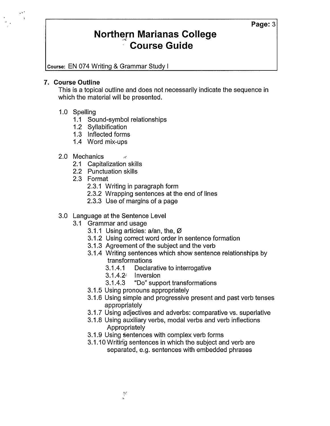# **Northern Marianas College** '" **Course Guide**

**Course:** EN 074 Writing & Grammar Study I

## **7. Course Outline**

This is a topical outline and does not necessarily indicate the sequence in which the material will be presented.

# 1.0 Spelling

- 1.1 Sound-symbol relationships
- 1.2 Syllabification
- 1.3 Inflected forms
- 1.4 Word mix-ups

# 2.0 Mechanics

- 2.1 Capitalization skills
- 2.2 Punctuation skills
- 2.3 Format
	- 2.3.1 Writing in paragraph form
	- 2.3.2 Wrapping sentences at the end of lines
	- 2.3.3 Use of margins of a page

## 3.0 Language at the Sentence Level

- 3.1 Grammar and usage
	- 3.1.1 Using articles: a/an, the,  $\varnothing$
	- 3.1.2 Using correct word order in sentence formation
	- 3.1.3 Agreement of the subject and the verb
	- 3.1.4 Writing sentences which show sentence relationships by transformations
		- 3.1.4.1 Declarative to interrogative
		- 3.1.4.2' Inversion
		- 3.1.4.3 "Do" support transformations
	- 3.1.5 Using pronouns appropriately
	- 3.1.6 Using simple and progressive present and past verb tenses appropriately
	- 3.1.7 Using adjectives and adverbs: comparative vs. superlative
	- 3.1.8 Using auxiliary verbs, modal verbs and verb inflections Appropriately
	- 3.1.9 Using sentences with complex verb forms
	- 3.1.10 Writing sentences in which the subject and verb are separated, e.g. sentences with embedded phrases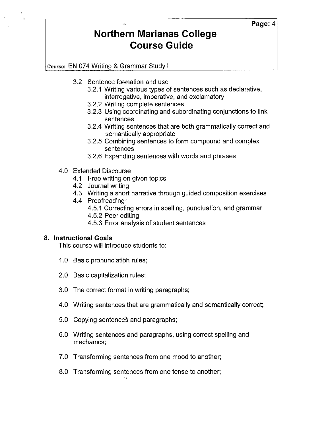# **Page:4**

# **Northern Marianas College Course Guide**

course: EN 074 Writing & Grammar Study I

- 3.2 Sentence formation and use
	- 3.2.1 Writing various types of sentences such as declarative, interrogative, imperative, and exclamatory
	- 3.2.2 Writing complete sentences
	- 3.2.3 Using coordinating and subordinating conjunctions to link sentences
	- 3.2.4 Writing sentences that are both grammatically correct and semantically appropriate
	- 3.2.5 Combining sentences to form compound and complex sentences
	- 3.2.6 Expanding sentences with words and phrases
- 4.0 Extended Discourse
	- 4.1 Free writing on given topics
	- 4.2 Journal writing
	- 4.3 Writing a short narrative through guided composition exercises
	- 4.4 Proofreading
		- 4.5.1 Correcting errors in spelling, punctuation, and grammar
		- 4.5.2 Peer editing
		- 4.5.3 Error analysis of student sentences

# **8. Instructional Goals**

This course will introduce students to:

- 1.0 Basic pronunciation rules;
- 2.0 Basic capitalization rules;
- 3.0 The correct format in writing paragraphs;
- 4.0 Writing sentences that are grammatically and semantically correct;
- 5.0 Copying sentences and paragraphs;
- 6.0 Writing sentences and paragraphs, using correct spelling and mechanics;
- 7.0 Transforming sentences from one mood to another;
- 8.0 Transforming sentences from one tense to another;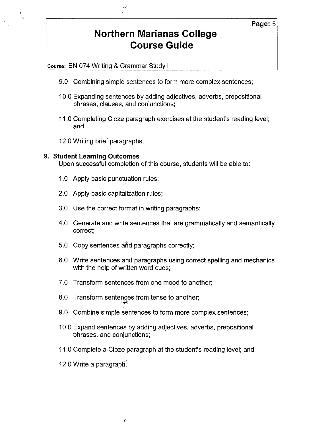# **Northern Marianas College Course Guide**

Course: EN 074 Writing & Grammar Study I

- 9.0 Combining simple sentences to form more complex sentences;
- 10.0 Expanding sentences by adding adjectives, adverbs, prepositional phrases, clauses, and conjunctions;
- 11.0 Completing Cloze paragraph exercises at the student's reading level; and
- 12.0 Writing brief paragraphs.

#### **9. Student Learning Outcomes**

Upon successful completion of this course, students will be able to:

- 1.0 Apply basic punctuation rules; ·,o.-1.
- 2.0 Apply basic capitalization rules;
- 3.0 Use the correct format in writing paragraphs;
- 4.0 Generate and write sentences that are grammatically and semantically correct;
- 5.0 Copy sentences ahd paragraphs correctly;
- 6.0 Write sentences and paragraphs using correct spelling and mechanics with the help of written word cues;
- 7.0 Transform sentences from one mood to another;
- 8.0 Transform sentences from tense to another;
- 9.0 Combine simple sentences to form more complex sentences;
- 10.0 Expand sentences by adding adjectives, adverbs, prepositional phrases, and conjunctions;
- 11.0 Complete a Cloze paragraph at the student's reading level; and
- $12.0$  Write a paragraph.